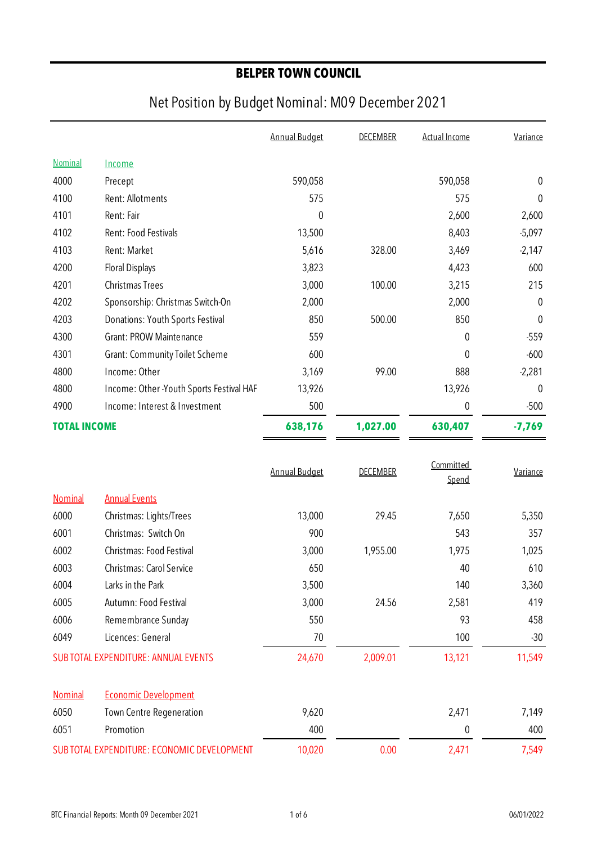|                                             |                                           | <b>Annual Budget</b> | <b>DECEMBER</b> | <b>Actual Income</b> | Variance         |
|---------------------------------------------|-------------------------------------------|----------------------|-----------------|----------------------|------------------|
| Nominal                                     | Income                                    |                      |                 |                      |                  |
| 4000                                        | Precept                                   | 590,058              |                 | 590,058              | $\pmb{0}$        |
| 4100                                        | Rent: Allotments                          | 575                  |                 | 575                  | $\boldsymbol{0}$ |
| 4101                                        | Rent: Fair                                | $\mathbf 0$          |                 | 2,600                | 2,600            |
| 4102                                        | Rent: Food Festivals                      | 13,500               |                 | 8,403                | $-5,097$         |
| 4103                                        | Rent: Market                              | 5,616                | 328.00          | 3,469                | $-2,147$         |
| 4200                                        | <b>Floral Displays</b>                    | 3,823                |                 | 4,423                | 600              |
| 4201                                        | <b>Christmas Trees</b>                    | 3,000                | 100.00          | 3,215                | 215              |
| 4202                                        | Sponsorship: Christmas Switch-On          | 2,000                |                 | 2,000                | 0                |
| 4203                                        | Donations: Youth Sports Festival          | 850                  | 500.00          | 850                  | $\mathbf{0}$     |
| 4300                                        | <b>Grant: PROW Maintenance</b>            | 559                  |                 | $\mathbf 0$          | $-559$           |
| 4301                                        | <b>Grant: Community Toilet Scheme</b>     | 600                  |                 | 0                    | $-600$           |
| 4800                                        | Income: Other                             | 3,169                | 99.00           | 888                  | $-2,281$         |
| 4800                                        | Income: Other - Youth Sports Festival HAF | 13,926               |                 | 13,926               | $\mathbf 0$      |
| 4900                                        | Income: Interest & Investment             | 500                  |                 | 0                    | $-500$           |
| <b>TOTAL INCOME</b>                         |                                           | 638,176              | 1,027.00        | 630,407              | $-7,769$         |
|                                             |                                           |                      |                 |                      |                  |
|                                             |                                           | <b>Annual Budget</b> | <b>DECEMBER</b> | Committed            | Variance         |
|                                             |                                           |                      |                 | Spend                |                  |
| Nominal                                     | <b>Annual Events</b>                      |                      |                 |                      |                  |
| 6000                                        | Christmas: Lights/Trees                   | 13,000               | 29.45           | 7,650                | 5,350            |
| 6001                                        | Christmas: Switch On                      | 900                  |                 | 543                  | 357              |
| 6002                                        | Christmas: Food Festival                  | 3,000                | 1,955.00        | 1,975                | 1,025            |
| 6003                                        | Christmas: Carol Service                  | 650                  |                 | 40                   | 610              |
| 6004                                        | Larks in the Park                         | 3,500                |                 | 140                  | 3,360            |
| 6005                                        | Autumn: Food Festival                     | 3,000                | 24.56           | 2,581                | 419              |
| 6006                                        | Remembrance Sunday                        | 550                  |                 | 93                   | 458              |
| 6049                                        | Licences: General                         | 70                   |                 | 100                  | $-30$            |
|                                             | SUB TOTAL EXPENDITURE: ANNUAL EVENTS      | 24,670               | 2,009.01        | 13,121               | 11,549           |
| Nominal                                     | <b>Economic Development</b>               |                      |                 |                      |                  |
| 6050                                        | Town Centre Regeneration                  | 9,620                |                 | 2,471                | 7,149            |
| 6051                                        | Promotion                                 | 400                  |                 | 0                    | 400              |
| SUB TOTAL EXPENDITURE: ECONOMIC DEVELOPMENT |                                           | 10,020               | 0.00            | 2,471                | 7,549            |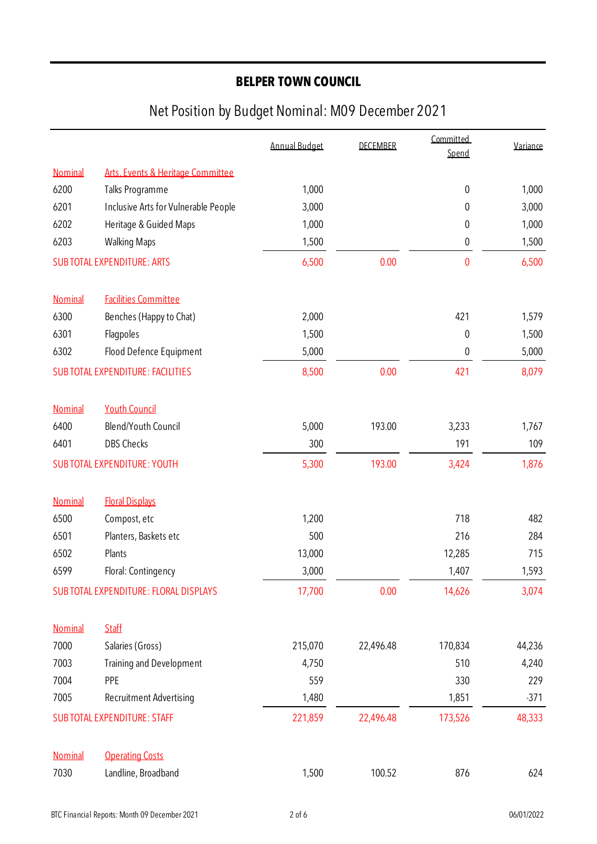|         |                                         | <b>Annual Budget</b> | <b>DECEMBER</b> | Committed<br>Spend | Variance |
|---------|-----------------------------------------|----------------------|-----------------|--------------------|----------|
| Nominal | Arts, Events & Heritage Committee       |                      |                 |                    |          |
| 6200    | Talks Programme                         | 1,000                |                 | $\pmb{0}$          | 1,000    |
| 6201    | Inclusive Arts for Vulnerable People    | 3,000                |                 | 0                  | 3,000    |
| 6202    | Heritage & Guided Maps                  | 1,000                |                 | 0                  | 1,000    |
| 6203    | <b>Walking Maps</b>                     | 1,500                |                 | 0                  | 1,500    |
|         | <b>SUB TOTAL EXPENDITURE: ARTS</b>      | 6,500                | 0.00            | $\mathbf{0}$       | 6,500    |
| Nominal | <b>Facilities Committee</b>             |                      |                 |                    |          |
| 6300    | Benches (Happy to Chat)                 | 2,000                |                 | 421                | 1,579    |
| 6301    | Flagpoles                               | 1,500                |                 | $\pmb{0}$          | 1,500    |
| 6302    | Flood Defence Equipment                 | 5,000                |                 | 0                  | 5,000    |
|         | <b>SUBTOTAL EXPENDITURE: FACILITIES</b> | 8,500                | 0.00            | 421                | 8,079    |
| Nominal | <b>Youth Council</b>                    |                      |                 |                    |          |
| 6400    | Blend/Youth Council                     | 5,000                | 193.00          | 3,233              | 1,767    |
| 6401    | <b>DBS Checks</b>                       | 300                  |                 | 191                | 109      |
|         | <b>SUBTOTAL EXPENDITURE: YOUTH</b>      | 5,300                | 193.00          | 3,424              | 1,876    |
| Nominal | <b>Floral Displays</b>                  |                      |                 |                    |          |
| 6500    | Compost, etc                            | 1,200                |                 | 718                | 482      |
| 6501    | Planters, Baskets etc                   | 500                  |                 | 216                | 284      |
| 6502    | Plants                                  | 13,000               |                 | 12,285             | 715      |
| 6599    | Floral: Contingency                     | 3,000                |                 | 1,407              | 1,593    |
|         | SUB TOTAL EXPENDITURE: FLORAL DISPLAYS  | 17,700               | 0.00            | 14,626             | 3,074    |
| Nominal | <b>Staff</b>                            |                      |                 |                    |          |
| 7000    | Salaries (Gross)                        | 215,070              | 22,496.48       | 170,834            | 44,236   |
| 7003    | <b>Training and Development</b>         | 4,750                |                 | 510                | 4,240    |
| 7004    | PPE                                     | 559                  |                 | 330                | 229      |
| 7005    | Recruitment Advertising                 | 1,480                |                 | 1,851              | $-371$   |
|         | <b>SUB TOTAL EXPENDITURE: STAFF</b>     | 221,859              | 22,496.48       | 173,526            | 48,333   |
| Nominal | <b>Operating Costs</b>                  |                      |                 |                    |          |
| 7030    | Landline, Broadband                     | 1,500                | 100.52          | 876                | 624      |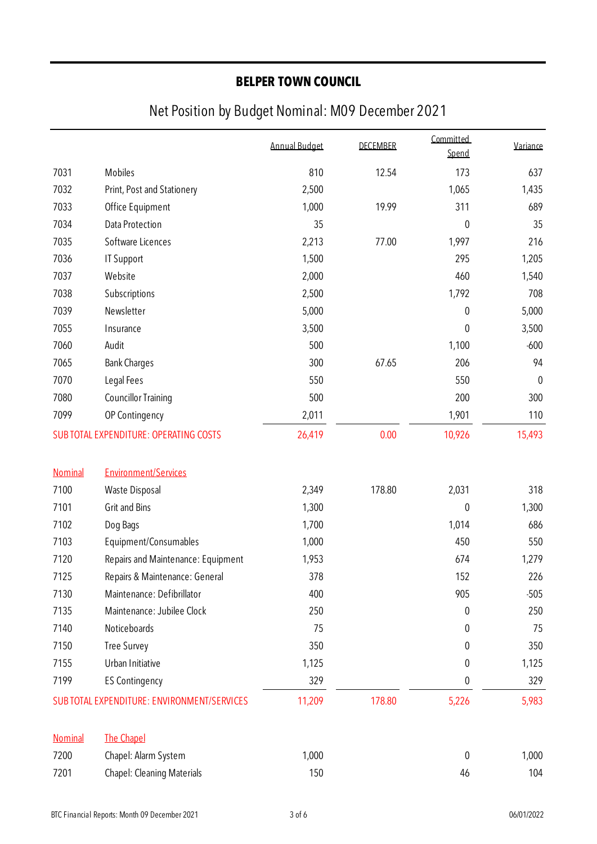|                |                                             | <b>Annual Budget</b> | <b>DECEMBER</b> | Committed<br>Spend | Variance  |
|----------------|---------------------------------------------|----------------------|-----------------|--------------------|-----------|
| 7031           | Mobiles                                     | 810                  | 12.54           | 173                | 637       |
| 7032           | Print, Post and Stationery                  | 2,500                |                 | 1,065              | 1,435     |
| 7033           | Office Equipment                            | 1,000                | 19.99           | 311                | 689       |
| 7034           | Data Protection                             | 35                   |                 | $\mathbf 0$        | 35        |
| 7035           | Software Licences                           | 2,213                | 77.00           | 1,997              | 216       |
| 7036           | <b>IT Support</b>                           | 1,500                |                 | 295                | 1,205     |
| 7037           | Website                                     | 2,000                |                 | 460                | 1,540     |
| 7038           | Subscriptions                               | 2,500                |                 | 1,792              | 708       |
| 7039           | Newsletter                                  | 5,000                |                 | $\mathbf 0$        | 5,000     |
| 7055           | Insurance                                   | 3,500                |                 | 0                  | 3,500     |
| 7060           | Audit                                       | 500                  |                 | 1,100              | $-600$    |
| 7065           | <b>Bank Charges</b>                         | 300                  | 67.65           | 206                | 94        |
| 7070           | Legal Fees                                  | 550                  |                 | 550                | $\pmb{0}$ |
| 7080           | <b>Councillor Training</b>                  | 500                  |                 | 200                | 300       |
| 7099           | OP Contingency                              | 2,011                |                 | 1,901              | 110       |
|                | SUB TOTAL EXPENDITURE: OPERATING COSTS      | 26,419               | 0.00            | 10,926             | 15,493    |
| Nominal        | <b>Environment/Services</b>                 |                      |                 |                    |           |
| 7100           | Waste Disposal                              | 2,349                | 178.80          | 2,031              | 318       |
| 7101           | Grit and Bins                               | 1,300                |                 | $\mathbf 0$        | 1,300     |
| 7102           | Dog Bags                                    | 1,700                |                 | 1,014              | 686       |
| 7103           | Equipment/Consumables                       | 1,000                |                 | 450                | 550       |
| 7120           | Repairs and Maintenance: Equipment          | 1,953                |                 | 674                | 1,279     |
| 7125           | Repairs & Maintenance: General              | 378                  |                 | 152                | 226       |
| 7130           | Maintenance: Defibrillator                  | 400                  |                 | 905                | $-505$    |
| 7135           | Maintenance: Jubilee Clock                  | 250                  |                 | 0                  | 250       |
| 7140           | Noticeboards                                | 75                   |                 | 0                  | 75        |
| 7150           | <b>Tree Survey</b>                          | 350                  |                 | 0                  | 350       |
| 7155           | Urban Initiative                            | 1,125                |                 | 0                  | 1,125     |
| 7199           | <b>ES Contingency</b>                       | 329                  |                 | 0                  | 329       |
|                | SUB TOTAL EXPENDITURE: ENVIRONMENT/SERVICES | 11,209               | 178.80          | 5,226              | 5,983     |
| <b>Nominal</b> | <b>The Chapel</b>                           |                      |                 |                    |           |
| 7200           | Chapel: Alarm System                        | 1,000                |                 | 0                  | 1,000     |
| 7201           | Chapel: Cleaning Materials                  | 150                  |                 | 46                 | 104       |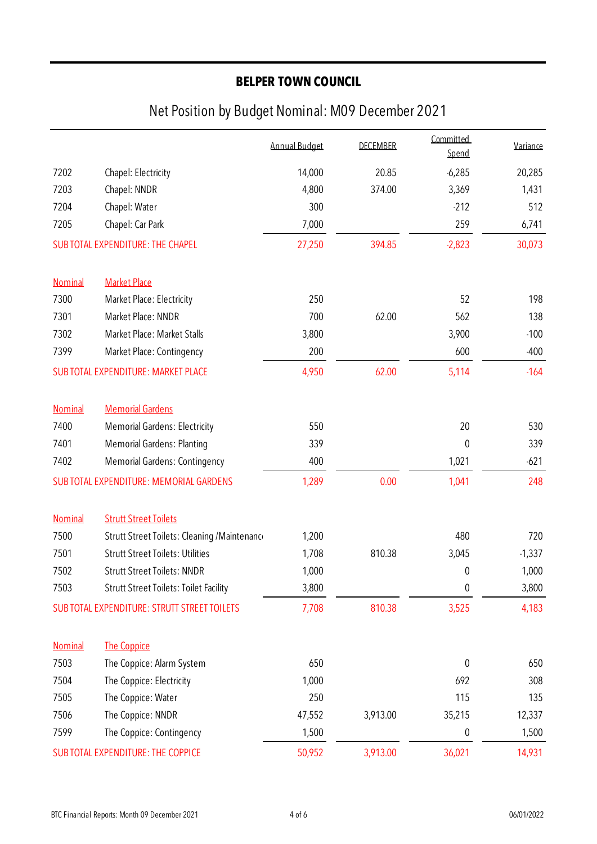|         |                                                     | <b>Annual Budget</b> | <b>DECEMBER</b> | Committed<br>Spend | Variance |
|---------|-----------------------------------------------------|----------------------|-----------------|--------------------|----------|
| 7202    | Chapel: Electricity                                 | 14,000               | 20.85           | $-6,285$           | 20,285   |
| 7203    | Chapel: NNDR                                        | 4,800                | 374.00          | 3,369              | 1,431    |
| 7204    | Chapel: Water                                       | 300                  |                 | $-212$             | 512      |
| 7205    | Chapel: Car Park                                    | 7,000                |                 | 259                | 6,741    |
|         | SUB TOTAL EXPENDITURE: THE CHAPEL                   | 27,250               | 394.85          | $-2,823$           | 30,073   |
| Nominal | <b>Market Place</b>                                 |                      |                 |                    |          |
| 7300    | Market Place: Electricity                           | 250                  |                 | 52                 | 198      |
| 7301    | Market Place: NNDR                                  | 700                  | 62.00           | 562                | 138      |
| 7302    | Market Place: Market Stalls                         | 3,800                |                 | 3,900              | $-100$   |
| 7399    | Market Place: Contingency                           | 200                  |                 | 600                | $-400$   |
|         | <b>SUBTOTAL EXPENDITURE: MARKET PLACE</b>           | 4,950                | 62.00           | 5,114              | $-164$   |
| Nominal | <b>Memorial Gardens</b>                             |                      |                 |                    |          |
| 7400    | <b>Memorial Gardens: Electricity</b>                | 550                  |                 | 20                 | 530      |
| 7401    | <b>Memorial Gardens: Planting</b>                   | 339                  |                 | $\mathbf 0$        | 339      |
| 7402    | <b>Memorial Gardens: Contingency</b>                | 400                  |                 | 1,021              | $-621$   |
|         | SUB TOTAL EXPENDITURE: MEMORIAL GARDENS             | 1,289                | 0.00            | 1,041              | 248      |
| Nominal | <b>Strutt Street Toilets</b>                        |                      |                 |                    |          |
| 7500    | Strutt Street Toilets: Cleaning / Maintenance       | 1,200                |                 | 480                | 720      |
| 7501    | <b>Strutt Street Toilets: Utilities</b>             | 1,708                | 810.38          | 3,045              | $-1,337$ |
| 7502    | <b>Strutt Street Toilets: NNDR</b>                  | 1,000                |                 | 0                  | 1,000    |
| 7503    | <b>Strutt Street Toilets: Toilet Facility</b>       | 3,800                |                 | $\boldsymbol{0}$   | 3,800    |
|         | <b>SUB TOTAL EXPENDITURE: STRUTT STREET TOILETS</b> | 7,708                | 810.38          | 3,525              | 4,183    |
| Nominal | <b>The Coppice</b>                                  |                      |                 |                    |          |
| 7503    | The Coppice: Alarm System                           | 650                  |                 | $\boldsymbol{0}$   | 650      |
| 7504    | The Coppice: Electricity                            | 1,000                |                 | 692                | 308      |
| 7505    | The Coppice: Water                                  | 250                  |                 | 115                | 135      |
| 7506    | The Coppice: NNDR                                   | 47,552               | 3,913.00        | 35,215             | 12,337   |
| 7599    | The Coppice: Contingency                            | 1,500                |                 | 0                  | 1,500    |
|         | <b>SUBTOTAL EXPENDITURE: THE COPPICE</b>            | 50,952               | 3,913.00        | 36,021             | 14,931   |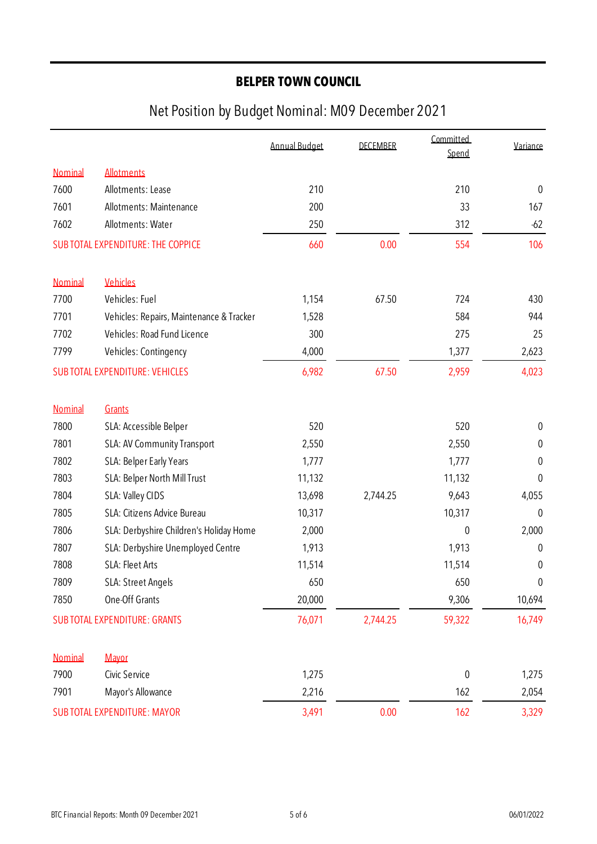|                                    |                                          | <b>Annual Budget</b> | <b>DECEMBER</b> | Committed<br>Spend | Variance         |
|------------------------------------|------------------------------------------|----------------------|-----------------|--------------------|------------------|
| Nominal                            | <b>Allotments</b>                        |                      |                 |                    |                  |
| 7600                               | Allotments: Lease                        | 210                  |                 | 210                | $\mathbf{0}$     |
| 7601                               | Allotments: Maintenance                  | 200                  |                 | 33                 | 167              |
| 7602                               | Allotments: Water                        | 250                  |                 | 312                | $-62$            |
|                                    | SUB TOTAL EXPENDITURE: THE COPPICE       | 660                  | 0.00            | 554                | 106              |
| Nominal                            | Vehicles                                 |                      |                 |                    |                  |
| 7700                               | Vehicles: Fuel                           | 1,154                | 67.50           | 724                | 430              |
| 7701                               | Vehicles: Repairs, Maintenance & Tracker | 1,528                |                 | 584                | 944              |
| 7702                               | Vehicles: Road Fund Licence              | 300                  |                 | 275                | 25               |
| 7799                               | Vehicles: Contingency                    | 4,000                |                 | 1,377              | 2,623            |
|                                    | <b>SUBTOTAL EXPENDITURE: VEHICLES</b>    | 6,982                | 67.50           | 2,959              | 4,023            |
| Nominal                            | Grants                                   |                      |                 |                    |                  |
| 7800                               | SLA: Accessible Belper                   | 520                  |                 | 520                | $\boldsymbol{0}$ |
| 7801                               | SLA: AV Community Transport              | 2,550                |                 | 2,550              | 0                |
| 7802                               | SLA: Belper Early Years                  | 1,777                |                 | 1,777              | 0                |
| 7803                               | SLA: Belper North Mill Trust             | 11,132               |                 | 11,132             | $\mathbf{0}$     |
| 7804                               | SLA: Valley CIDS                         | 13,698               | 2,744.25        | 9,643              | 4,055            |
| 7805                               | SLA: Citizens Advice Bureau              | 10,317               |                 | 10,317             | $\theta$         |
| 7806                               | SLA: Derbyshire Children's Holiday Home  | 2,000                |                 | $\mathbf 0$        | 2,000            |
| 7807                               | SLA: Derbyshire Unemployed Centre        | 1,913                |                 | 1,913              | $\boldsymbol{0}$ |
| 7808                               | SLA: Fleet Arts                          | 11,514               |                 | 11,514             | 0                |
| 7809                               | SLA: Street Angels                       | 650                  |                 | 650                | 0                |
| 7850                               | One-Off Grants                           | 20,000               |                 | 9,306              | 10,694           |
|                                    | <b>SUBTOTAL EXPENDITURE: GRANTS</b>      | 76,071               | 2,744.25        | 59,322             | 16,749           |
| Nominal                            | Mayor                                    |                      |                 |                    |                  |
| 7900                               | Civic Service                            | 1,275                |                 | $\boldsymbol{0}$   | 1,275            |
| 7901                               | Mayor's Allowance                        | 2,216                |                 | 162                | 2,054            |
| <b>SUBTOTAL EXPENDITURE: MAYOR</b> |                                          | 3,491                | 0.00            | 162                | 3,329            |